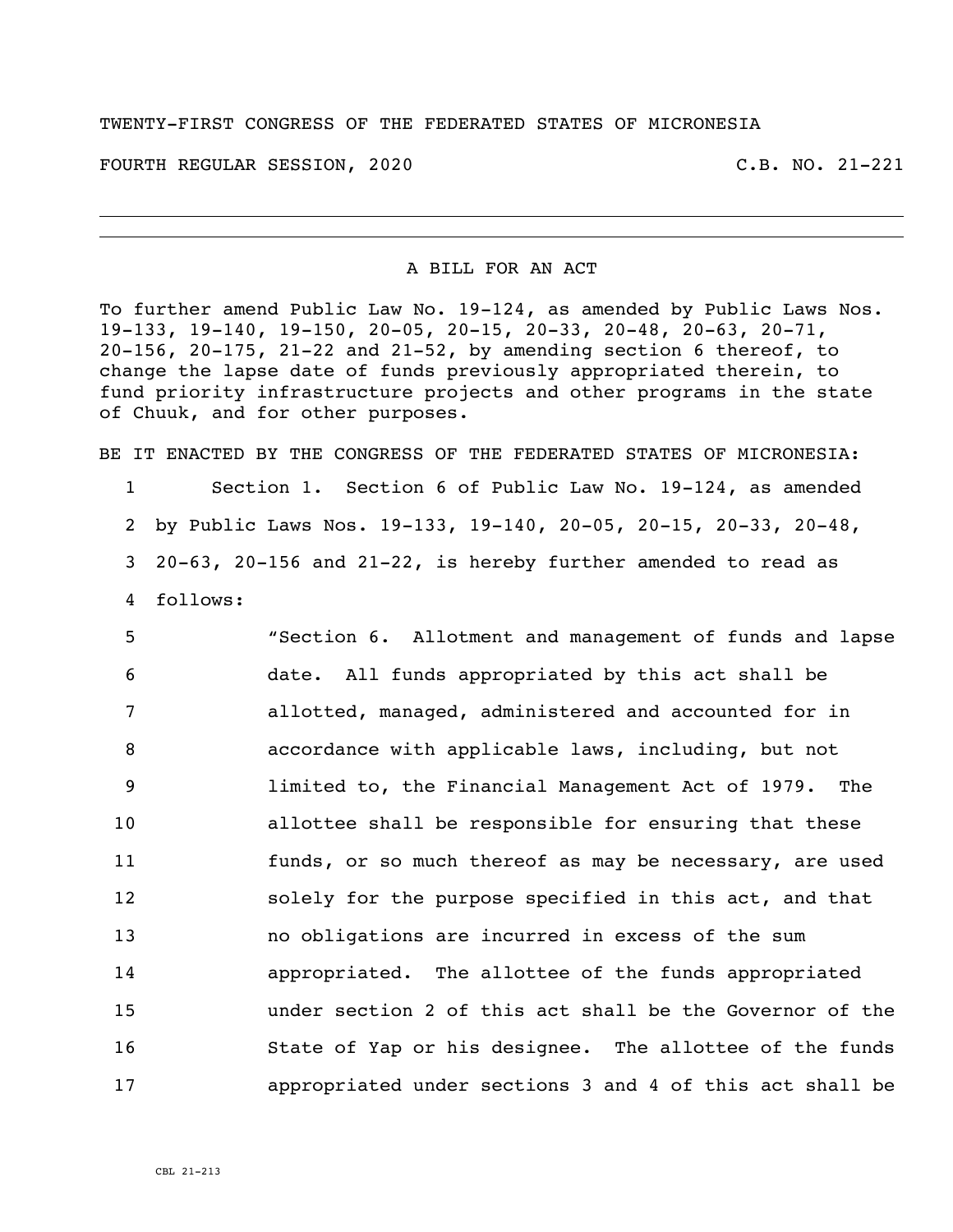## TWENTY-FIRST CONGRESS OF THE FEDERATED STATES OF MICRONESIA

FOURTH REGULAR SESSION, 2020 C.B. NO. 21-221

## A BILL FOR AN ACT

To further amend Public Law No. 19-124, as amended by Public Laws Nos. 19-133, 19-140, 19-150, 20-05, 20-15, 20-33, 20-48, 20-63, 20-71, 20-156, 20-175, 21-22 and 21-52, by amending section 6 thereof, to change the lapse date of funds previously appropriated therein, to fund priority infrastructure projects and other programs in the state of Chuuk, and for other purposes.

BE IT ENACTED BY THE CONGRESS OF THE FEDERATED STATES OF MICRONESIA: Section 1. Section 6 of Public Law No. 19-124, as amended by Public Laws Nos. 19-133, 19-140, 20-05, 20-15, 20-33, 20-48, 20-63, 20-156 and 21-22, is hereby further amended to read as follows:

 "Section 6. Allotment and management of funds and lapse date. All funds appropriated by this act shall be allotted, managed, administered and accounted for in accordance with applicable laws, including, but not limited to, the Financial Management Act of 1979. The allottee shall be responsible for ensuring that these funds, or so much thereof as may be necessary, are used solely for the purpose specified in this act, and that no obligations are incurred in excess of the sum appropriated. The allottee of the funds appropriated under section 2 of this act shall be the Governor of the State of Yap or his designee. The allottee of the funds appropriated under sections 3 and 4 of this act shall be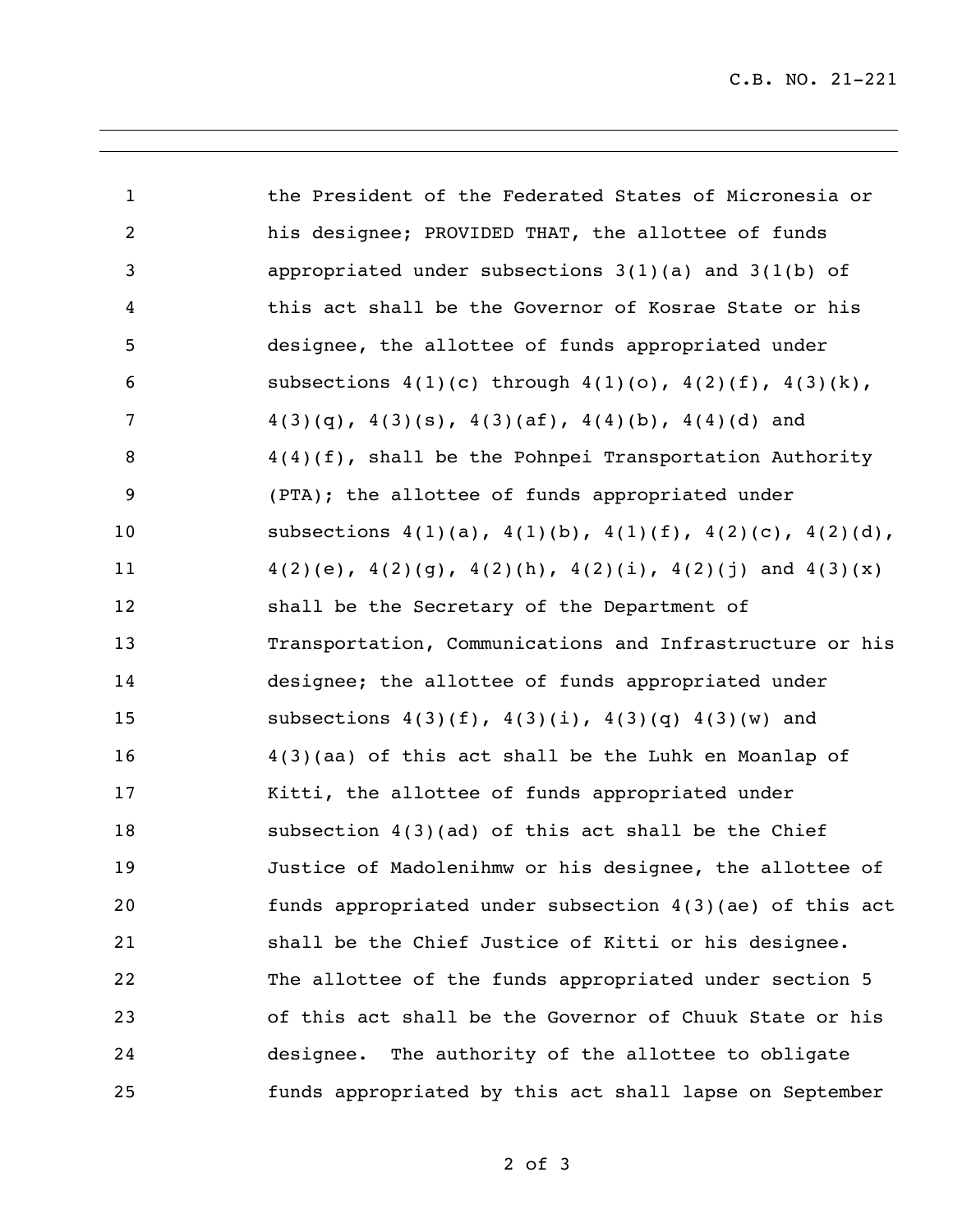| $\mathbf{1}$   | the President of the Federated States of Micronesia or                  |
|----------------|-------------------------------------------------------------------------|
| $\overline{2}$ | his designee; PROVIDED THAT, the allottee of funds                      |
| 3              | appropriated under subsections $3(1)(a)$ and $3(1(b)$ of                |
| 4              | this act shall be the Governor of Kosrae State or his                   |
| 5              | designee, the allottee of funds appropriated under                      |
| 6              | subsections $4(1)(c)$ through $4(1)(o)$ , $4(2)(f)$ , $4(3)(k)$ ,       |
| 7              | $4(3)(q)$ , $4(3)(s)$ , $4(3)(af)$ , $4(4)(b)$ , $4(4)(d)$ and          |
| 8              | $4(4)(f)$ , shall be the Pohnpei Transportation Authority               |
| 9              | (PTA); the allottee of funds appropriated under                         |
| 10             | subsections $4(1)(a)$ , $4(1)(b)$ , $4(1)(f)$ , $4(2)(c)$ , $4(2)(d)$ , |
| 11             | $4(2)(e)$ , $4(2)(g)$ , $4(2)(h)$ , $4(2)(i)$ , $4(2)(j)$ and $4(3)(x)$ |
| 12             | shall be the Secretary of the Department of                             |
| 13             | Transportation, Communications and Infrastructure or his                |
| 14             | designee; the allottee of funds appropriated under                      |
| 15             | subsections $4(3)(f)$ , $4(3)(i)$ , $4(3)(q)$ , $4(3)(w)$ and           |
| 16             | $4(3)$ (aa) of this act shall be the Luhk en Moanlap of                 |
| 17             | Kitti, the allottee of funds appropriated under                         |
| 18             | subsection $4(3)(ad)$ of this act shall be the Chief                    |
| 19             | Justice of Madolenihmw or his designee, the allottee of                 |
| 20             | funds appropriated under subsection $4(3)(ae)$ of this act              |
| 21             | shall be the Chief Justice of Kitti or his designee.                    |
| 22             | The allottee of the funds appropriated under section 5                  |
| 23             | of this act shall be the Governor of Chuuk State or his                 |
| 24             | The authority of the allottee to obligate<br>designee.                  |
| 25             | funds appropriated by this act shall lapse on September                 |